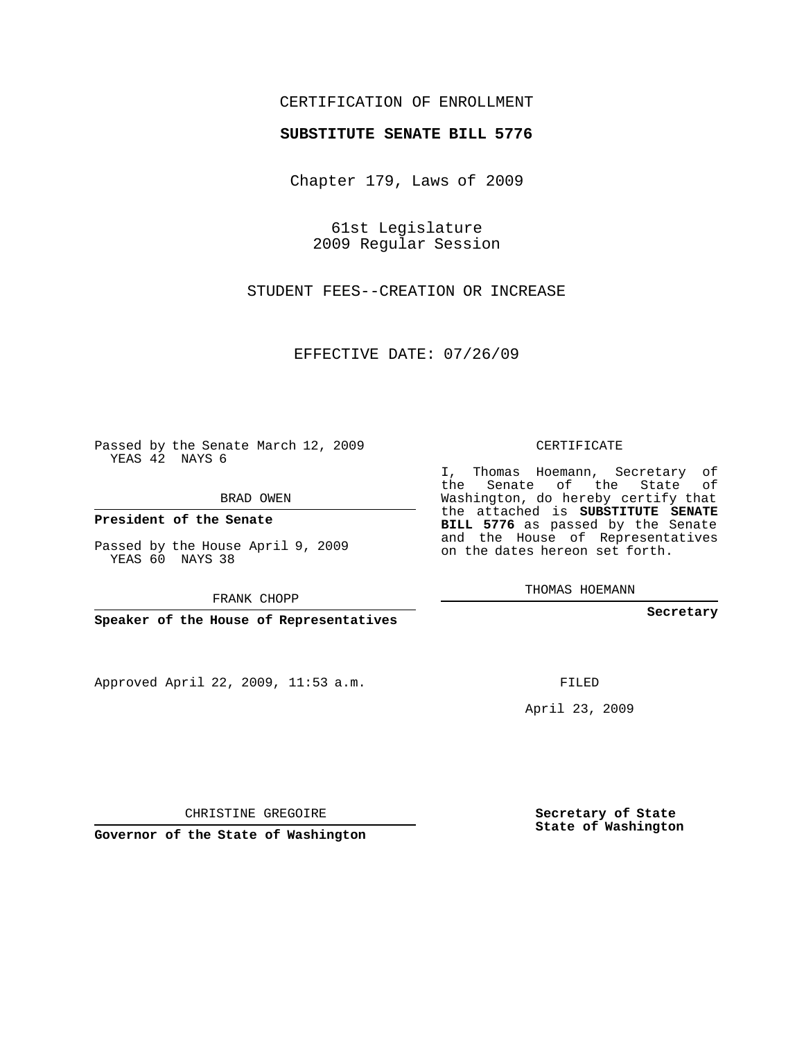## CERTIFICATION OF ENROLLMENT

## **SUBSTITUTE SENATE BILL 5776**

Chapter 179, Laws of 2009

61st Legislature 2009 Regular Session

STUDENT FEES--CREATION OR INCREASE

EFFECTIVE DATE: 07/26/09

Passed by the Senate March 12, 2009 YEAS 42 NAYS 6

BRAD OWEN

**President of the Senate**

Passed by the House April 9, 2009 YEAS 60 NAYS 38

FRANK CHOPP

**Speaker of the House of Representatives**

Approved April 22, 2009, 11:53 a.m.

CERTIFICATE

I, Thomas Hoemann, Secretary of the Senate of the State of Washington, do hereby certify that the attached is **SUBSTITUTE SENATE BILL 5776** as passed by the Senate and the House of Representatives on the dates hereon set forth.

THOMAS HOEMANN

**Secretary**

FILED

April 23, 2009

**Secretary of State State of Washington**

CHRISTINE GREGOIRE

**Governor of the State of Washington**